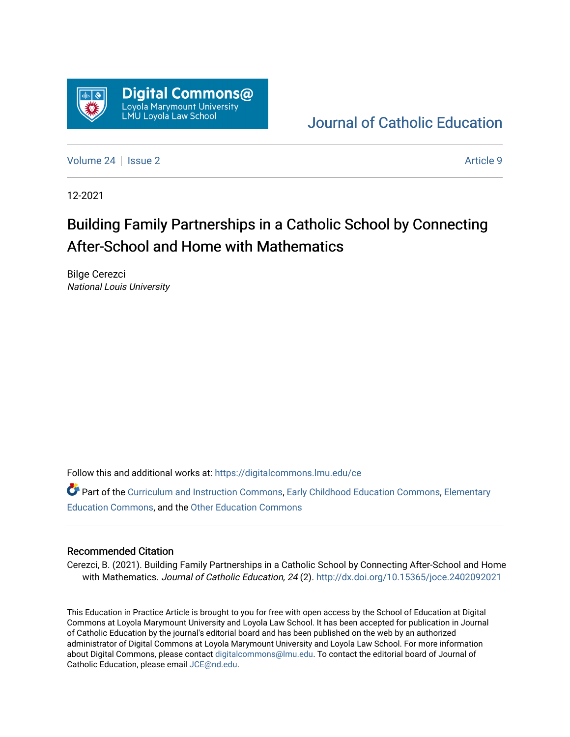

# [Journal of Catholic Education](https://digitalcommons.lmu.edu/ce)

[Volume 24](https://digitalcommons.lmu.edu/ce/vol24) | [Issue 2](https://digitalcommons.lmu.edu/ce/vol24/iss2) Article 9

12-2021

# Building Family Partnerships in a Catholic School by Connecting After-School and Home with Mathematics

Bilge Cerezci National Louis University

Follow this and additional works at: [https://digitalcommons.lmu.edu/ce](https://digitalcommons.lmu.edu/ce?utm_source=digitalcommons.lmu.edu%2Fce%2Fvol24%2Fiss2%2F9&utm_medium=PDF&utm_campaign=PDFCoverPages)

Part of the [Curriculum and Instruction Commons,](https://network.bepress.com/hgg/discipline/786?utm_source=digitalcommons.lmu.edu%2Fce%2Fvol24%2Fiss2%2F9&utm_medium=PDF&utm_campaign=PDFCoverPages) [Early Childhood Education Commons,](https://network.bepress.com/hgg/discipline/1377?utm_source=digitalcommons.lmu.edu%2Fce%2Fvol24%2Fiss2%2F9&utm_medium=PDF&utm_campaign=PDFCoverPages) [Elementary](https://network.bepress.com/hgg/discipline/1378?utm_source=digitalcommons.lmu.edu%2Fce%2Fvol24%2Fiss2%2F9&utm_medium=PDF&utm_campaign=PDFCoverPages) [Education Commons,](https://network.bepress.com/hgg/discipline/1378?utm_source=digitalcommons.lmu.edu%2Fce%2Fvol24%2Fiss2%2F9&utm_medium=PDF&utm_campaign=PDFCoverPages) and the [Other Education Commons](https://network.bepress.com/hgg/discipline/811?utm_source=digitalcommons.lmu.edu%2Fce%2Fvol24%2Fiss2%2F9&utm_medium=PDF&utm_campaign=PDFCoverPages) 

#### Recommended Citation

Cerezci, B. (2021). Building Family Partnerships in a Catholic School by Connecting After-School and Home with Mathematics. Journal of Catholic Education, 24 (2). http://dx.doi.org/10.15365/joce.2402092021

This Education in Practice Article is brought to you for free with open access by the School of Education at Digital Commons at Loyola Marymount University and Loyola Law School. It has been accepted for publication in Journal of Catholic Education by the journal's editorial board and has been published on the web by an authorized administrator of Digital Commons at Loyola Marymount University and Loyola Law School. For more information about Digital Commons, please contact [digitalcommons@lmu.edu](mailto:digitalcommons@lmu.edu). To contact the editorial board of Journal of Catholic Education, please email [JCE@nd.edu.](mailto:JCE@nd.edu)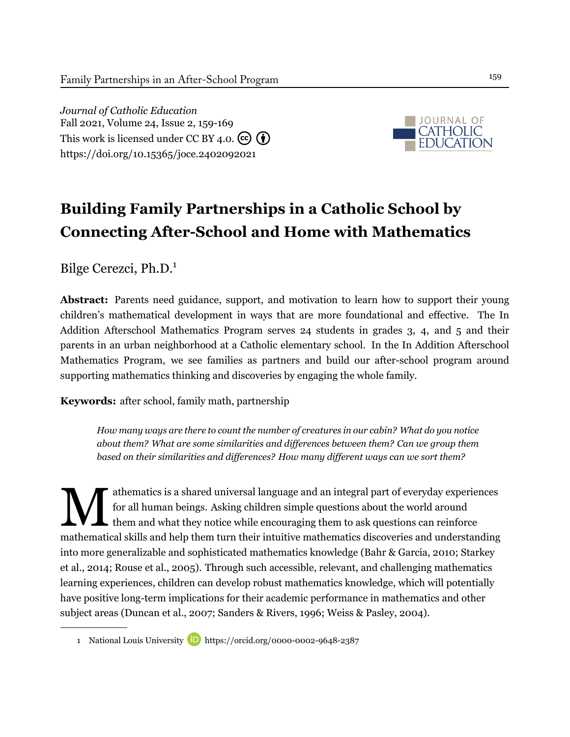*Journal of Catholic Education* Fall 2021, Volume 24, Issue 2, 159-169 This work is licensed under CC BY 4.0.  $(c)$   $(i)$ <https://doi.org/10.15365/joce.2402092021>



# **Building Family Partnerships in a Catholic School by Connecting After-School and Home with Mathematics**

Bilge Cerezci, Ph.D.<sup>1</sup>

**Abstract:** Parents need guidance, support, and motivation to learn how to support their young children's mathematical development in ways that are more foundational and effective. The In Addition Afterschool Mathematics Program serves 24 students in grades 3, 4, and 5 and their parents in an urban neighborhood at a Catholic elementary school. In the In Addition Afterschool Mathematics Program, we see families as partners and build our after-school program around supporting mathematics thinking and discoveries by engaging the whole family.

**Keywords:** after school, family math, partnership

*How many ways are there to count the number of creatures in our cabin? What do you notice about them? What are some similarities and differences between them? Can we group them based on their similarities and differences? How many different ways can we sort them?*

M athematics is a shared universal language and an integral part of everyday experiences for all human beings. Asking children simple questions about the world around  $\blacktriangle$  them and what they notice while encouraging them to ask questions can reinforce mathematical skills and help them turn their intuitive mathematics discoveries and understanding into more generalizable and sophisticated mathematics knowledge [\(Bahr & Garcia](#page-9-0), [2010](#page-9-0); [Starkey](#page-11-0) [et al.](#page-11-0), [2014](#page-11-0); [Rouse et al., 2005\)](#page-11-1). Through such accessible, relevant, and challenging mathematics learning experiences, children can develop robust mathematics knowledge, which will potentially have positive long-term implications for their academic performance in mathematics and other subject areas ([Duncan et al., 2007](#page-10-0); [Sanders & Rivers, 1996](#page-11-2); [Weiss & Pasley, 2004\)](#page-11-3).

<sup>1</sup> National Louis University **D** <https://orcid.org/0000-0002-9648-2387>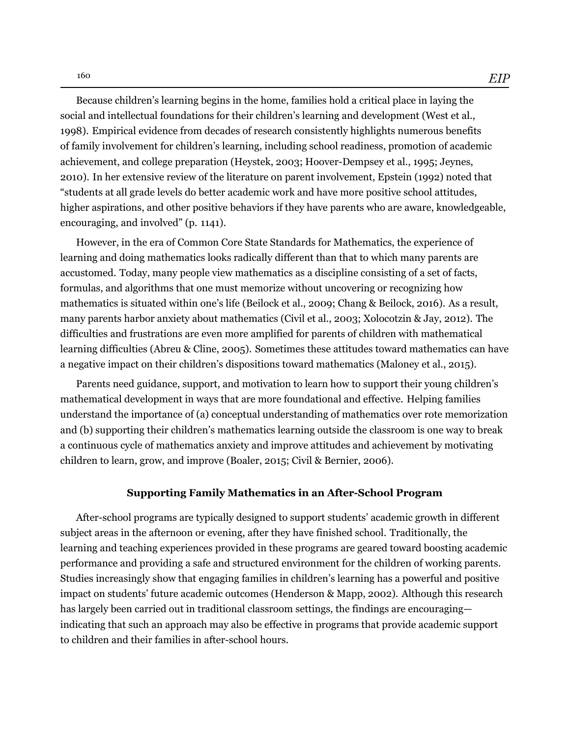Because children's learning begins in the home, families hold a critical place in laying the social and intellectual foundations for their children's learning and development [\(West et al.,](#page-11-4) [1998](#page-11-4)). Empirical evidence from decades of research consistently highlights numerous benefits of family involvement for children's learning, including school readiness, promotion of academic achievement, and college preparation ([Heystek, 2003;](#page-10-1) [Hoover-Dempsey et al.](#page-10-2), [1995;](#page-10-2) [Jeynes,](#page-10-3) [2010\)](#page-10-3). In her extensive review of the literature on parent involvement, [Epstein \(1992](#page-10-4)) noted that "students at all grade levels do better academic work and have more positive school attitudes, higher aspirations, and other positive behaviors if they have parents who are aware, knowledgeable, encouraging, and involved" (p. 1141).

However, in the era of Common Core State Standards for Mathematics, the experience of learning and doing mathematics looks radically different than that to which many parents are accustomed. Today, many people view mathematics as a discipline consisting of a set of facts, formulas, and algorithms that one must memorize without uncovering or recognizing how mathematics is situated within one's life [\(Beilock et al., 2009;](#page-9-1) [Chang & Beilock](#page-10-5), [2016\)](#page-10-5). As a result, many parents harbor anxiety about mathematics ([Civil et al.](#page-10-6), [2003](#page-10-6); [Xolocotzin & Jay, 2012\)](#page-11-5). The difficulties and frustrations are even more amplified for parents of children with mathematical learning difficulties [\(Abreu & Cline, 2005\)](#page-9-2). Sometimes these attitudes toward mathematics can have a negative impact on their children's dispositions toward mathematics ([Maloney et al.](#page-11-6), [2015](#page-11-6)).

Parents need guidance, support, and motivation to learn how to support their young children's mathematical development in ways that are more foundational and effective. Helping families understand the importance of (a) conceptual understanding of mathematics over rote memorization and (b) supporting their children's mathematics learning outside the classroom is one way to break a continuous cycle of mathematics anxiety and improve attitudes and achievement by motivating children to learn, grow, and improve [\(Boaler, 2015;](#page-9-3) [Civil & Bernier, 2006\)](#page-10-7).

#### **Supporting Family Mathematics in an After-School Program**

After-school programs are typically designed to support students' academic growth in different subject areas in the afternoon or evening, after they have finished school. Traditionally, the learning and teaching experiences provided in these programs are geared toward boosting academic performance and providing a safe and structured environment for the children of working parents. Studies increasingly show that engaging families in children's learning has a powerful and positive impact on students' future academic outcomes [\(Henderson & Mapp, 2002](#page-10-8)). Although this research has largely been carried out in traditional classroom settings, the findings are encouraging indicating that such an approach may also be effective in programs that provide academic support to children and their families in after-school hours.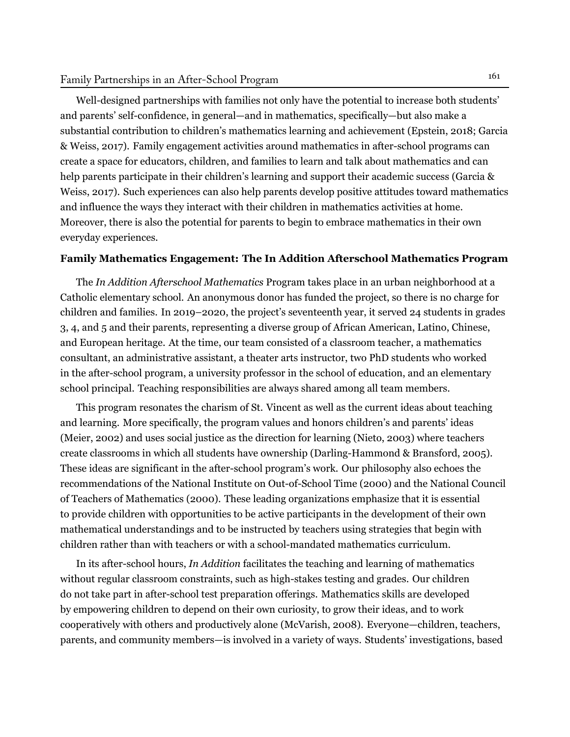## Family Partnerships in an After-School Program 161

Well-designed partnerships with families not only have the potential to increase both students' and parents' self-confidence, in general—and in mathematics, specifically—but also make a substantial contribution to children's mathematics learning and achievement ([Epstein, 2018](#page-10-9); [Garcia](#page-10-10) [& Weiss, 2017](#page-10-10)). Family engagement activities around mathematics in after-school programs can create a space for educators, children, and families to learn and talk about mathematics and can help parents participate in their children's learning and support their academic success ([Garcia &](#page-10-10) [Weiss](#page-10-10), [2017\)](#page-10-10). Such experiences can also help parents develop positive attitudes toward mathematics and influence the ways they interact with their children in mathematics activities at home. Moreover, there is also the potential for parents to begin to embrace mathematics in their own everyday experiences.

#### **Family Mathematics Engagement: The In Addition Afterschool Mathematics Program**

The *In Addition Afterschool Mathematics* Program takes place in an urban neighborhood at a Catholic elementary school. An anonymous donor has funded the project, so there is no charge for children and families. In 2019–2020, the project's seventeenth year, it served 24 students in grades 3, 4, and 5 and their parents, representing a diverse group of African American, Latino, Chinese, and European heritage. At the time, our team consisted of a classroom teacher, a mathematics consultant, an administrative assistant, a theater arts instructor, two PhD students who worked in the after-school program, a university professor in the school of education, and an elementary school principal. Teaching responsibilities are always shared among all team members.

This program resonates the charism of St. Vincent as well as the current ideas about teaching and learning. More specifically, the program values and honors children's and parents' ideas (Meier, 2002) and uses social justice as the direction for learning ([Nieto](#page-11-7), [2003](#page-11-7)) where teachers create classrooms in which all students have ownership [\(Darling-Hammond & Bransford, 2005](#page-10-11)). These ideas are significant in the after-school program's work. Our philosophy also echoes the recommendations of the [National Institute on Out-of-School Time \(2000\)](#page-11-8) and the [National Council](#page-11-9) [of Teachers of Mathematics \(2000](#page-11-9)). These leading organizations emphasize that it is essential to provide children with opportunities to be active participants in the development of their own mathematical understandings and to be instructed by teachers using strategies that begin with children rather than with teachers or with a school-mandated mathematics curriculum.

In its after-school hours, *In Addition* facilitates the teaching and learning of mathematics without regular classroom constraints, such as high-stakes testing and grades. Our children do not take part in after-school test preparation offerings. Mathematics skills are developed by empowering children to depend on their own curiosity, to grow their ideas, and to work cooperatively with others and productively alone [\(McVarish](#page-11-10), [2008\)](#page-11-10). Everyone—children, teachers, parents, and community members—is involved in a variety of ways. Students' investigations, based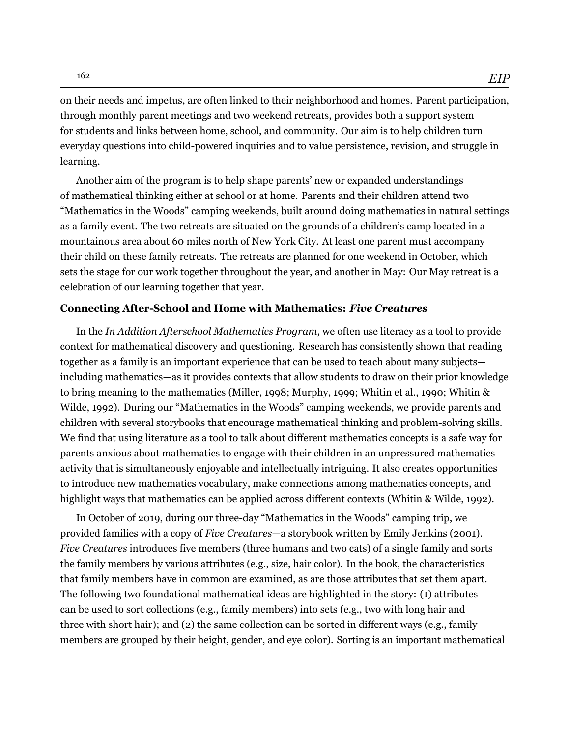on their needs and impetus, are often linked to their neighborhood and homes. Parent participation, through monthly parent meetings and two weekend retreats, provides both a support system for students and links between home, school, and community. Our aim is to help children turn everyday questions into child-powered inquiries and to value persistence, revision, and struggle in learning.

Another aim of the program is to help shape parents' new or expanded understandings of mathematical thinking either at school or at home. Parents and their children attend two "Mathematics in the Woods" camping weekends, built around doing mathematics in natural settings as a family event. The two retreats are situated on the grounds of a children's camp located in a mountainous area about 60 miles north of New York City. At least one parent must accompany their child on these family retreats. The retreats are planned for one weekend in October, which sets the stage for our work together throughout the year, and another in May: Our May retreat is a celebration of our learning together that year.

#### **Connecting After-School and Home with Mathematics:** *Five Creatures*

In the *In Addition Afterschool Mathematics Program*, we often use literacy as a tool to provide context for mathematical discovery and questioning. Research has consistently shown that reading together as a family is an important experience that can be used to teach about many subjects including mathematics—as it provides contexts that allow students to draw on their prior knowledge to bring meaning to the mathematics [\(Miller, 1998;](#page-11-11) [Murphy, 1999](#page-11-12); [Whitin et al., 1990](#page-11-13); [Whitin &](#page-11-14) [Wilde](#page-11-14), [1992](#page-11-14)). During our "Mathematics in the Woods" camping weekends, we provide parents and children with several storybooks that encourage mathematical thinking and problem-solving skills. We find that using literature as a tool to talk about different mathematics concepts is a safe way for parents anxious about mathematics to engage with their children in an unpressured mathematics activity that is simultaneously enjoyable and intellectually intriguing. It also creates opportunities to introduce new mathematics vocabulary, make connections among mathematics concepts, and highlight ways that mathematics can be applied across different contexts [\(Whitin & Wilde](#page-11-14), [1992](#page-11-14)).

In October of 2019, during our three-day "Mathematics in the Woods" camping trip, we provided families with a copy of *Five Creatures*—a storybook written by Emily [Jenkins \(2001](#page-10-12)). *Five Creatures* introduces five members (three humans and two cats) of a single family and sorts the family members by various attributes (e.g., size, hair color). In the book, the characteristics that family members have in common are examined, as are those attributes that set them apart. The following two foundational mathematical ideas are highlighted in the story: (1) attributes can be used to sort collections (e.g., family members) into sets (e.g., two with long hair and three with short hair); and (2) the same collection can be sorted in different ways (e.g., family members are grouped by their height, gender, and eye color). Sorting is an important mathematical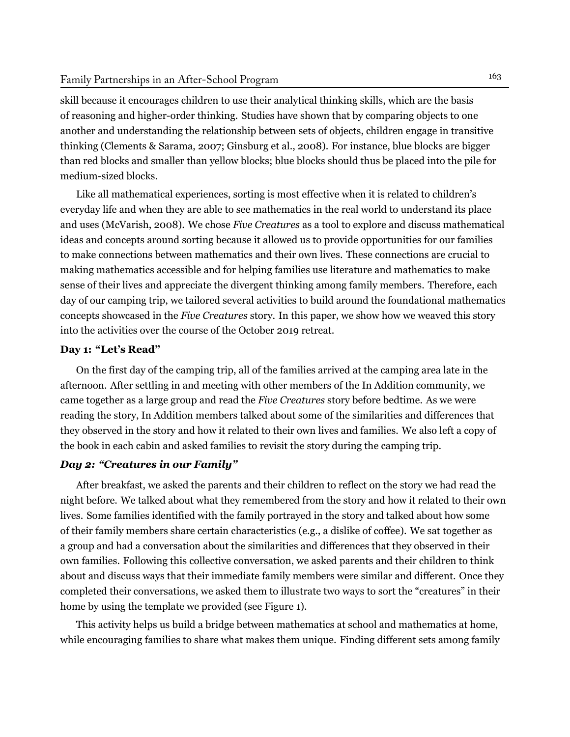skill because it encourages children to use their analytical thinking skills, which are the basis of reasoning and higher-order thinking. Studies have shown that by comparing objects to one another and understanding the relationship between sets of objects, children engage in transitive thinking [\(Clements](#page-10-13) & Sarama, [2007;](#page-10-13) [Ginsburg](#page-10-14) et al., [2008\)](#page-10-14). For instance, blue blocks are bigger than red blocks and smaller than yellow blocks; blue blocks should thus be placed into the pile for medium-sized blocks.

Like all mathematical experiences, sorting is most effective when it is related to children's everyday life and when they are able to see mathematics in the real world to understand its place and uses [\(McVarish,](#page-11-10) [2008](#page-11-10)). We chose *Five Creatures* as a tool to explore and discuss mathematical ideas and concepts around sorting because it allowed us to provide opportunities for our families to make connections between mathematics and their own lives. These connections are crucial to making mathematics accessible and for helping families use literature and mathematics to make sense of their lives and appreciate the divergent thinking among family members. Therefore, each day of our camping trip, we tailored several activities to build around the foundational mathematics concepts showcased in the *Five Creatures* story. In this paper, we show how we weaved this story into the activities over the course of the October 2019 retreat.

#### **Day 1: "Let's Read"**

On the first day of the camping trip, all of the families arrived at the camping area late in the afternoon. After settling in and meeting with other members of the In Addition community, we came together as a large group and read the *Five Creatures* story before bedtime. As we were reading the story, In Addition members talked about some of the similarities and differences that they observed in the story and how it related to their own lives and families. We also left a copy of the book in each cabin and asked families to revisit the story during the camping trip.

#### *Day 2: "Creatures in our Family"*

After breakfast, we asked the parents and their children to reflect on the story we had read the night before. We talked about what they remembered from the story and how it related to their own lives. Some families identified with the family portrayed in the story and talked about how some of their family members share certain characteristics (e.g., a dislike of coffee). We sat together as a group and had a conversation about the similarities and differences that they observed in their own families. Following this collective conversation, we asked parents and their children to think about and discuss ways that their immediate family members were similar and different. Once they completed their conversations, we asked them to illustrate two ways to sort the "creatures" in their home by using the template we provided (see Figure 1).

This activity helps us build a bridge between mathematics at school and mathematics at home, while encouraging families to share what makes them unique. Finding different sets among family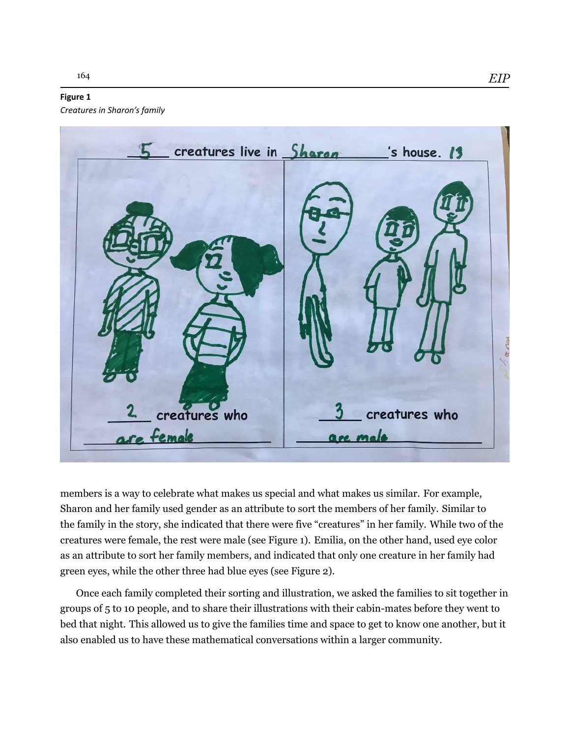### **Figure 1**

*Creatures in Sharon's family*



members is a way to celebrate what makes us special and what makes us similar. For example, Sharon and her family used gender as an attribute to sort the members of her family. Similar to the family in the story, she indicated that there were five "creatures" in her family. While two of the creatures were female, the rest were male (see Figure 1). Emilia, on the other hand, used eye color as an attribute to sort her family members, and indicated that only one creature in her family had green eyes, while the other three had blue eyes (see Figure 2).

Once each family completed their sorting and illustration, we asked the families to sit together in groups of 5 to 10 people, and to share their illustrations with their cabin-mates before they went to bed that night. This allowed us to give the families time and space to get to know one another, but it also enabled us to have these mathematical conversations within a larger community.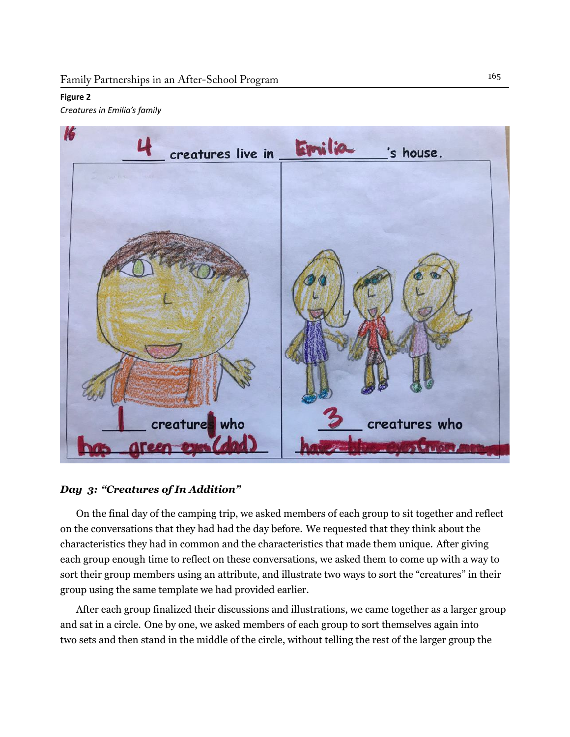#### **Figure 2**

*Creatures in Emilia's family*



### *Day 3: "Creatures of In Addition"*

On the final day of the camping trip, we asked members of each group to sit together and reflect on the conversations that they had had the day before. We requested that they think about the characteristics they had in common and the characteristics that made them unique. After giving each group enough time to reflect on these conversations, we asked them to come up with a way to sort their group members using an attribute, and illustrate two ways to sort the "creatures" in their group using the same template we had provided earlier.

After each group finalized their discussions and illustrations, we came together as a larger group and sat in a circle. One by one, we asked members of each group to sort themselves again into two sets and then stand in the middle of the circle, without telling the rest of the larger group the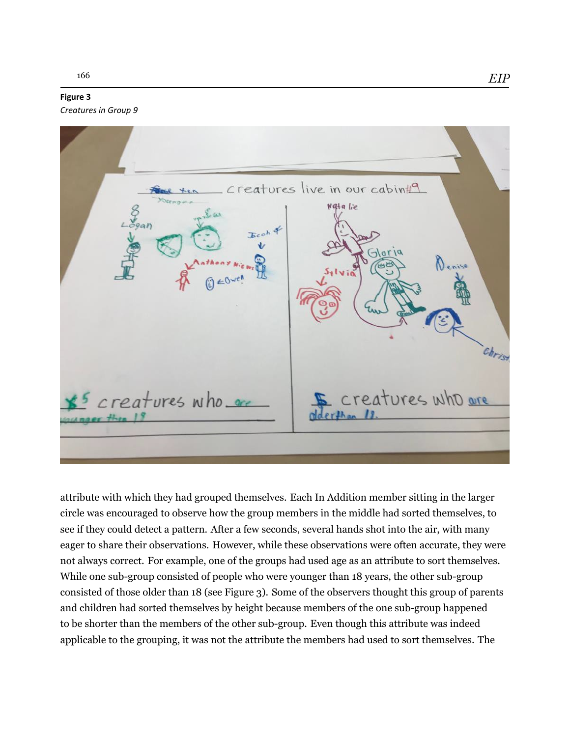#### **Figure 3**

*Creatures in Group 9*

creatures live in our cabin#9 Nata lie Denise christ creatures who are creatures who, are

attribute with which they had grouped themselves. Each In Addition member sitting in the larger circle was encouraged to observe how the group members in the middle had sorted themselves, to see if they could detect a pattern. After a few seconds, several hands shot into the air, with many eager to share their observations. However, while these observations were often accurate, they were not always correct. For example, one of the groups had used age as an attribute to sort themselves. While one sub-group consisted of people who were younger than 18 years, the other sub-group consisted of those older than 18 (see Figure 3). Some of the observers thought this group of parents and children had sorted themselves by height because members of the one sub-group happened to be shorter than the members of the other sub-group. Even though this attribute was indeed applicable to the grouping, it was not the attribute the members had used to sort themselves. The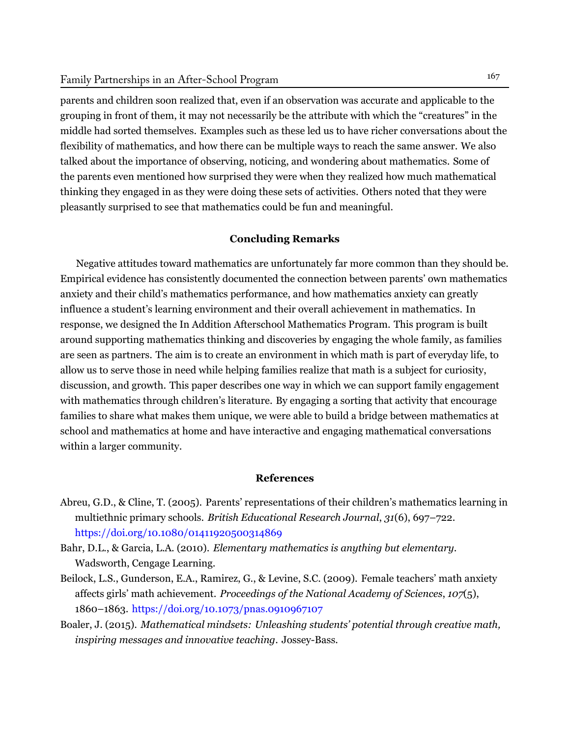parents and children soon realized that, even if an observation was accurate and applicable to the grouping in front of them, it may not necessarily be the attribute with which the "creatures" in the middle had sorted themselves. Examples such as these led us to have richer conversations about the flexibility of mathematics, and how there can be multiple ways to reach the same answer. We also talked about the importance of observing, noticing, and wondering about mathematics. Some of the parents even mentioned how surprised they were when they realized how much mathematical thinking they engaged in as they were doing these sets of activities. Others noted that they were pleasantly surprised to see that mathematics could be fun and meaningful.

#### **Concluding Remarks**

Negative attitudes toward mathematics are unfortunately far more common than they should be. Empirical evidence has consistently documented the connection between parents' own mathematics anxiety and their child's mathematics performance, and how mathematics anxiety can greatly influence a student's learning environment and their overall achievement in mathematics. In response, we designed the In Addition Afterschool Mathematics Program. This program is built around supporting mathematics thinking and discoveries by engaging the whole family, as families are seen as partners. The aim is to create an environment in which math is part of everyday life, to allow us to serve those in need while helping families realize that math is a subject for curiosity, discussion, and growth. This paper describes one way in which we can support family engagement with mathematics through children's literature. By engaging a sorting that activity that encourage families to share what makes them unique, we were able to build a bridge between mathematics at school and mathematics at home and have interactive and engaging mathematical conversations within a larger community.

#### **References**

- <span id="page-9-2"></span>Abreu, G.D., & Cline, T. (2005). Parents' representations of their children's mathematics learning in multiethnic primary schools. *British Educational Research Journal*, *31*(6), 697–722. <https://doi.org/10.1080/01411920500314869>
- <span id="page-9-0"></span>Bahr, D.L., & Garcia, L.A. (2010). *Elementary mathematics is anything but elementary*. Wadsworth, Cengage Learning.
- <span id="page-9-1"></span>Beilock, L.S., Gunderson, E.A., Ramirez, G., & Levine, S.C. (2009). Female teachers' math anxiety affects girls' math achievement. *Proceedings of the National Academy of Sciences*, *107*(5), 1860–1863. <https://doi.org/10.1073/pnas.0910967107>
- <span id="page-9-3"></span>Boaler, J. (2015). *Mathematical mindsets: Unleashing students' potential through creative math, inspiring messages and innovative teaching*. Jossey-Bass.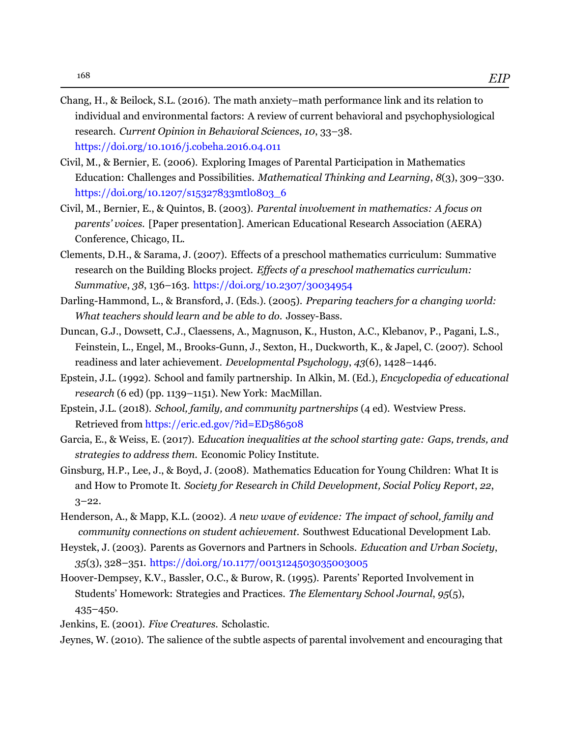- <span id="page-10-5"></span>Chang, H., & Beilock, S.L. (2016). The math anxiety–math performance link and its relation to individual and environmental factors: A review of current behavioral and psychophysiological research. *Current Opinion in Behavioral Sciences*, *10*, 33–38. <https://doi.org/10.1016/j.cobeha.2016.04.011>
- <span id="page-10-7"></span>Civil, M., & Bernier, E. (2006). Exploring Images of Parental Participation in Mathematics Education: Challenges and Possibilities. *Mathematical Thinking and Learning*, *8*(3), 309–330. https://doi.org/10.1207/s15327833mtl0803\_6
- <span id="page-10-6"></span>Civil, M., Bernier, E., & Quintos, B. (2003). *Parental involvement in mathematics: A focus on parents' voices.* [Paper presentation]. American Educational Research Association (AERA) Conference, Chicago, IL.
- <span id="page-10-13"></span>Clements, D.H., & Sarama, J. (2007). Effects of a preschool mathematics curriculum: Summative research on the Building Blocks project. *Effects of a preschool mathematics curriculum: Summative*, *38*, 136–163. <https://doi.org/10.2307/30034954>
- <span id="page-10-11"></span>Darling-Hammond, L., & Bransford, J. (Eds.). (2005). *Preparing teachers for a changing world: What teachers should learn and be able to do*. Jossey-Bass.
- <span id="page-10-0"></span>Duncan, G.J., Dowsett, C.J., Claessens, A., Magnuson, K., Huston, A.C., Klebanov, P., Pagani, L.S., Feinstein, L., Engel, M., Brooks-Gunn, J., Sexton, H., Duckworth, K., & Japel, C. (2007). School readiness and later achievement. *Developmental Psychology*, *43*(6), 1428–1446.
- <span id="page-10-4"></span>Epstein, J.L. (1992). School and family partnership. In Alkin, M. (Ed.), *Encyclopedia of educational research* (6 ed) (pp. 1139–1151). New York: MacMillan.
- <span id="page-10-9"></span>Epstein, J.L. (2018). *School, family, and community partnerships* (4 ed). Westview Press. Retrieved from <https://eric.ed.gov/?id=ED586508>
- <span id="page-10-10"></span>Garcia, E., & Weiss, E. (2017). E*ducation inequalities at the school starting gate: Gaps, trends, and strategies to address them*. Economic Policy Institute.
- <span id="page-10-14"></span>Ginsburg, H.P., Lee, J., & Boyd, J. (2008). Mathematics Education for Young Children: What It is and How to Promote It. *Society for Research in Child Development, Social Policy Report*, *22*,  $3 - 22.$
- <span id="page-10-8"></span>Henderson, A., & Mapp, K.L. (2002). *A new wave of evidence: The impact of school, family and community connections on student achievement.* Southwest Educational Development Lab.
- <span id="page-10-1"></span>Heystek, J. (2003). Parents as Governors and Partners in Schools. *Education and Urban Society*, *35*(3), 328–351. <https://doi.org/10.1177/0013124503035003005>
- <span id="page-10-2"></span>Hoover-Dempsey, K.V., Bassler, O.C., & Burow, R. (1995). Parents' Reported Involvement in Students' Homework: Strategies and Practices. *The Elementary School Journal*, *95*(5), 435–450.
- <span id="page-10-12"></span>Jenkins, E. (2001). *Five Creatures*. Scholastic.

<span id="page-10-3"></span>Jeynes, W. (2010). The salience of the subtle aspects of parental involvement and encouraging that